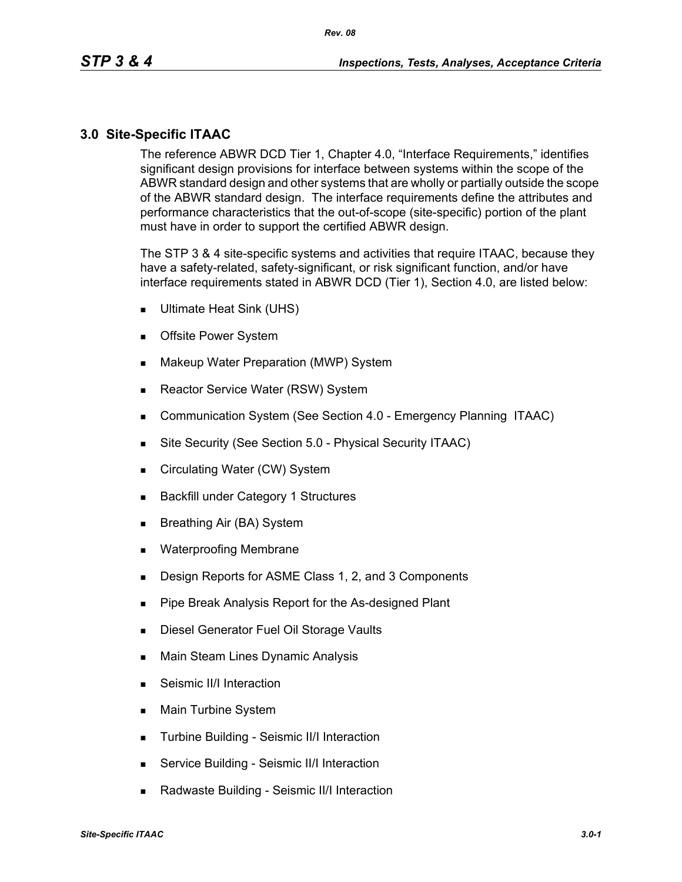### **3.0 Site-Specific ITAAC**

The reference ABWR DCD Tier 1, Chapter 4.0, "Interface Requirements," identifies significant design provisions for interface between systems within the scope of the ABWR standard design and other systems that are wholly or partially outside the scope of the ABWR standard design. The interface requirements define the attributes and performance characteristics that the out-of-scope (site-specific) portion of the plant must have in order to support the certified ABWR design.

The STP 3 & 4 site-specific systems and activities that require ITAAC, because they have a safety-related, safety-significant, or risk significant function, and/or have interface requirements stated in ABWR DCD (Tier 1), Section 4.0, are listed below:

- Ultimate Heat Sink (UHS)
- **Deta** Offsite Power System
- **Makeup Water Preparation (MWP) System**
- Reactor Service Water (RSW) System
- **Communication System (See Section 4.0 Emergency Planning ITAAC)**
- Site Security (See Section 5.0 Physical Security ITAAC)
- Circulating Water (CW) System
- **Backfill under Category 1 Structures**
- Breathing Air (BA) System
- **Net Waterproofing Membrane**
- **Design Reports for ASME Class 1, 2, and 3 Components**
- **Pipe Break Analysis Report for the As-designed Plant**
- **Diesel Generator Fuel Oil Storage Vaults**
- **Main Steam Lines Dynamic Analysis**
- Seismic II/I Interaction
- **Main Turbine System**
- **Turbine Building Seismic II/I Interaction**
- **Service Building Seismic II/I Interaction**
- Radwaste Building Seismic II/I Interaction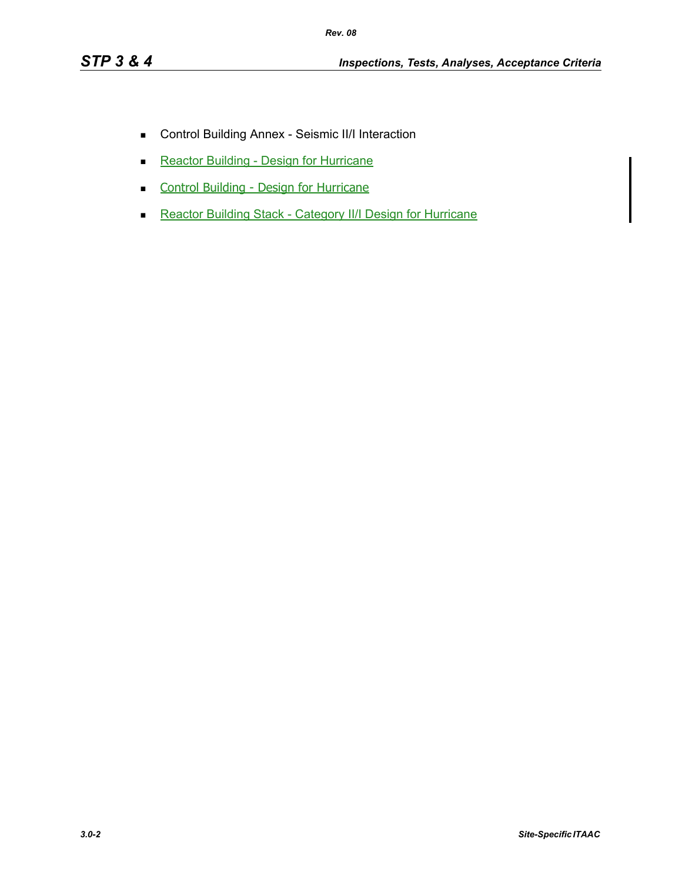- Control Building Annex Seismic II/I Interaction
- Reactor Building Design for Hurricane
- **Control Building Design for Hurricane**
- Reactor Building Stack Category II/I Design for Hurricane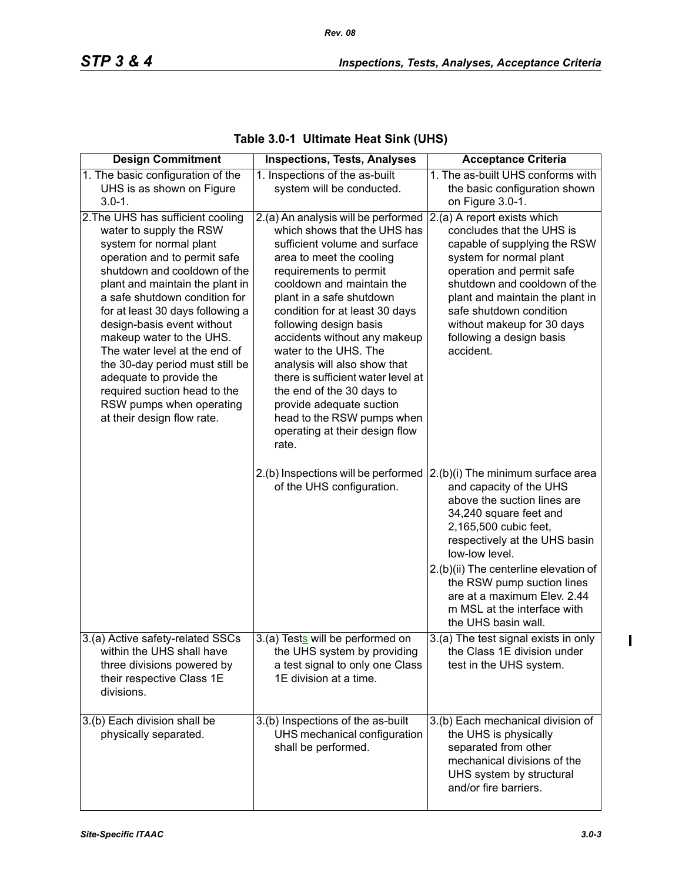| <b>Design Commitment</b>                                                                                                                                                                                                                                                                                                                                                                                                                                                                                           | <b>Inspections, Tests, Analyses</b>                                                                                                                                                                                                                                                                                                                                                                                                                                                                                                              | <b>Acceptance Criteria</b>                                                                                                                                                                                                                                                                                                                                       |
|--------------------------------------------------------------------------------------------------------------------------------------------------------------------------------------------------------------------------------------------------------------------------------------------------------------------------------------------------------------------------------------------------------------------------------------------------------------------------------------------------------------------|--------------------------------------------------------------------------------------------------------------------------------------------------------------------------------------------------------------------------------------------------------------------------------------------------------------------------------------------------------------------------------------------------------------------------------------------------------------------------------------------------------------------------------------------------|------------------------------------------------------------------------------------------------------------------------------------------------------------------------------------------------------------------------------------------------------------------------------------------------------------------------------------------------------------------|
| 1. The basic configuration of the                                                                                                                                                                                                                                                                                                                                                                                                                                                                                  | 1. Inspections of the as-built                                                                                                                                                                                                                                                                                                                                                                                                                                                                                                                   | 1. The as-built UHS conforms with                                                                                                                                                                                                                                                                                                                                |
| UHS is as shown on Figure                                                                                                                                                                                                                                                                                                                                                                                                                                                                                          | system will be conducted.                                                                                                                                                                                                                                                                                                                                                                                                                                                                                                                        | the basic configuration shown                                                                                                                                                                                                                                                                                                                                    |
| $3.0 - 1.$                                                                                                                                                                                                                                                                                                                                                                                                                                                                                                         |                                                                                                                                                                                                                                                                                                                                                                                                                                                                                                                                                  | on Figure 3.0-1.                                                                                                                                                                                                                                                                                                                                                 |
| 2. The UHS has sufficient cooling<br>water to supply the RSW<br>system for normal plant<br>operation and to permit safe<br>shutdown and cooldown of the<br>plant and maintain the plant in<br>a safe shutdown condition for<br>for at least 30 days following a<br>design-basis event without<br>makeup water to the UHS.<br>The water level at the end of<br>the 30-day period must still be<br>adequate to provide the<br>required suction head to the<br>RSW pumps when operating<br>at their design flow rate. | 2.(a) An analysis will be performed<br>which shows that the UHS has<br>sufficient volume and surface<br>area to meet the cooling<br>requirements to permit<br>cooldown and maintain the<br>plant in a safe shutdown<br>condition for at least 30 days<br>following design basis<br>accidents without any makeup<br>water to the UHS. The<br>analysis will also show that<br>there is sufficient water level at<br>the end of the 30 days to<br>provide adequate suction<br>head to the RSW pumps when<br>operating at their design flow<br>rate. | 2.(a) A report exists which<br>concludes that the UHS is<br>capable of supplying the RSW<br>system for normal plant<br>operation and permit safe<br>shutdown and cooldown of the<br>plant and maintain the plant in<br>safe shutdown condition<br>without makeup for 30 days<br>following a design basis<br>accident.                                            |
|                                                                                                                                                                                                                                                                                                                                                                                                                                                                                                                    | 2.(b) Inspections will be performed<br>of the UHS configuration.                                                                                                                                                                                                                                                                                                                                                                                                                                                                                 | $(2.(b)(i)$ The minimum surface area<br>and capacity of the UHS<br>above the suction lines are<br>34,240 square feet and<br>2,165,500 cubic feet,<br>respectively at the UHS basin<br>low-low level.<br>2.(b)(ii) The centerline elevation of<br>the RSW pump suction lines<br>are at a maximum Elev. 2.44<br>m MSL at the interface with<br>the UHS basin wall. |
| 3.(a) Active safety-related SSCs                                                                                                                                                                                                                                                                                                                                                                                                                                                                                   | 3.(a) Tests will be performed on                                                                                                                                                                                                                                                                                                                                                                                                                                                                                                                 | 3.(a) The test signal exists in only                                                                                                                                                                                                                                                                                                                             |
| within the UHS shall have<br>three divisions powered by<br>their respective Class 1E<br>divisions.                                                                                                                                                                                                                                                                                                                                                                                                                 | the UHS system by providing<br>a test signal to only one Class<br>1E division at a time.                                                                                                                                                                                                                                                                                                                                                                                                                                                         | the Class 1E division under<br>test in the UHS system.                                                                                                                                                                                                                                                                                                           |
| 3.(b) Each division shall be<br>physically separated.                                                                                                                                                                                                                                                                                                                                                                                                                                                              | 3.(b) Inspections of the as-built<br>UHS mechanical configuration<br>shall be performed.                                                                                                                                                                                                                                                                                                                                                                                                                                                         | 3.(b) Each mechanical division of<br>the UHS is physically<br>separated from other<br>mechanical divisions of the<br>UHS system by structural<br>and/or fire barriers.                                                                                                                                                                                           |

## **Table 3.0-1 Ultimate Heat Sink (UHS)**

 $\blacksquare$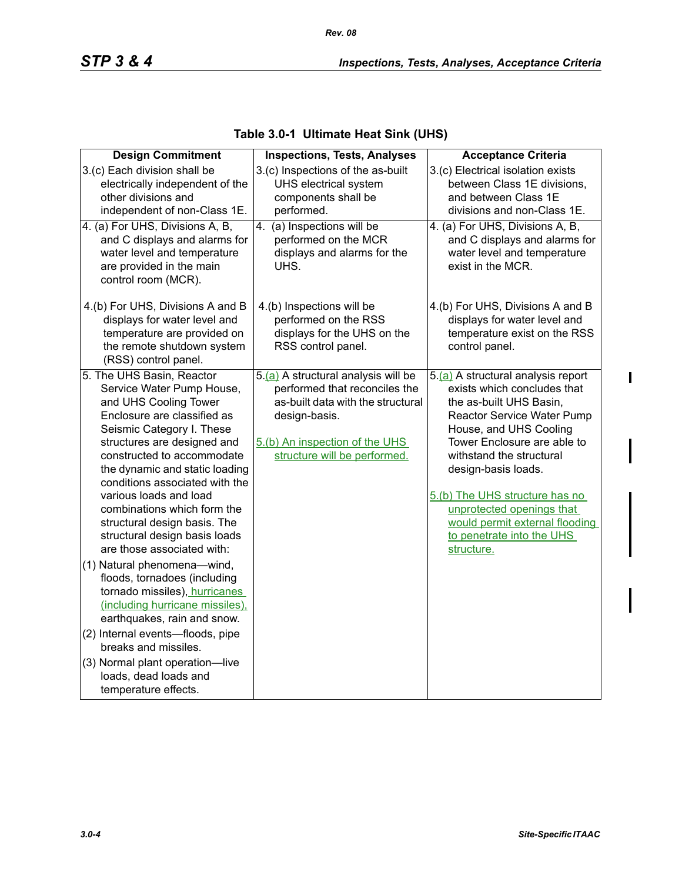| <b>Design Commitment</b>                                                                                                                                                                                                                                                                                                                                                                                                             | <b>Inspections, Tests, Analyses</b>                                                                                                                                                          | <b>Acceptance Criteria</b>                                                                                                                                                                                                                                                                                                                                                         |
|--------------------------------------------------------------------------------------------------------------------------------------------------------------------------------------------------------------------------------------------------------------------------------------------------------------------------------------------------------------------------------------------------------------------------------------|----------------------------------------------------------------------------------------------------------------------------------------------------------------------------------------------|------------------------------------------------------------------------------------------------------------------------------------------------------------------------------------------------------------------------------------------------------------------------------------------------------------------------------------------------------------------------------------|
| 3.(c) Each division shall be<br>electrically independent of the<br>other divisions and<br>independent of non-Class 1E.                                                                                                                                                                                                                                                                                                               | 3.(c) Inspections of the as-built<br>UHS electrical system<br>components shall be<br>performed.                                                                                              | 3.(c) Electrical isolation exists<br>between Class 1E divisions,<br>and between Class 1E<br>divisions and non-Class 1E.                                                                                                                                                                                                                                                            |
| 4. (a) For UHS, Divisions A, B,<br>and C displays and alarms for<br>water level and temperature<br>are provided in the main<br>control room (MCR).                                                                                                                                                                                                                                                                                   | 4. (a) Inspections will be<br>performed on the MCR<br>displays and alarms for the<br>UHS.                                                                                                    | 4. (a) For UHS, Divisions A, B,<br>and C displays and alarms for<br>water level and temperature<br>exist in the MCR.                                                                                                                                                                                                                                                               |
| 4.(b) For UHS, Divisions A and B<br>displays for water level and<br>temperature are provided on<br>the remote shutdown system<br>(RSS) control panel.                                                                                                                                                                                                                                                                                | 4.(b) Inspections will be<br>performed on the RSS<br>displays for the UHS on the<br>RSS control panel.                                                                                       | 4.(b) For UHS, Divisions A and B<br>displays for water level and<br>temperature exist on the RSS<br>control panel.                                                                                                                                                                                                                                                                 |
| 5. The UHS Basin, Reactor<br>Service Water Pump House,<br>and UHS Cooling Tower<br>Enclosure are classified as<br>Seismic Category I. These<br>structures are designed and<br>constructed to accommodate<br>the dynamic and static loading<br>conditions associated with the<br>various loads and load<br>combinations which form the<br>structural design basis. The<br>structural design basis loads<br>are those associated with: | 5.(a) A structural analysis will be<br>performed that reconciles the<br>as-built data with the structural<br>design-basis.<br>5.(b) An inspection of the UHS<br>structure will be performed. | 5.(a) A structural analysis report<br>exists which concludes that<br>the as-built UHS Basin,<br>Reactor Service Water Pump<br>House, and UHS Cooling<br>Tower Enclosure are able to<br>withstand the structural<br>design-basis loads.<br>5.(b) The UHS structure has no<br>unprotected openings that<br>would permit external flooding<br>to penetrate into the UHS<br>structure. |
| (1) Natural phenomena-wind,<br>floods, tornadoes (including<br>tornado missiles), hurricanes<br>(including hurricane missiles).<br>earthquakes, rain and snow.<br>(2) Internal events-floods, pipe                                                                                                                                                                                                                                   |                                                                                                                                                                                              |                                                                                                                                                                                                                                                                                                                                                                                    |
| breaks and missiles.<br>(3) Normal plant operation-live<br>loads, dead loads and<br>temperature effects.                                                                                                                                                                                                                                                                                                                             |                                                                                                                                                                                              |                                                                                                                                                                                                                                                                                                                                                                                    |

### **Table 3.0-1 Ultimate Heat Sink (UHS)**

 $\mathbf{l}$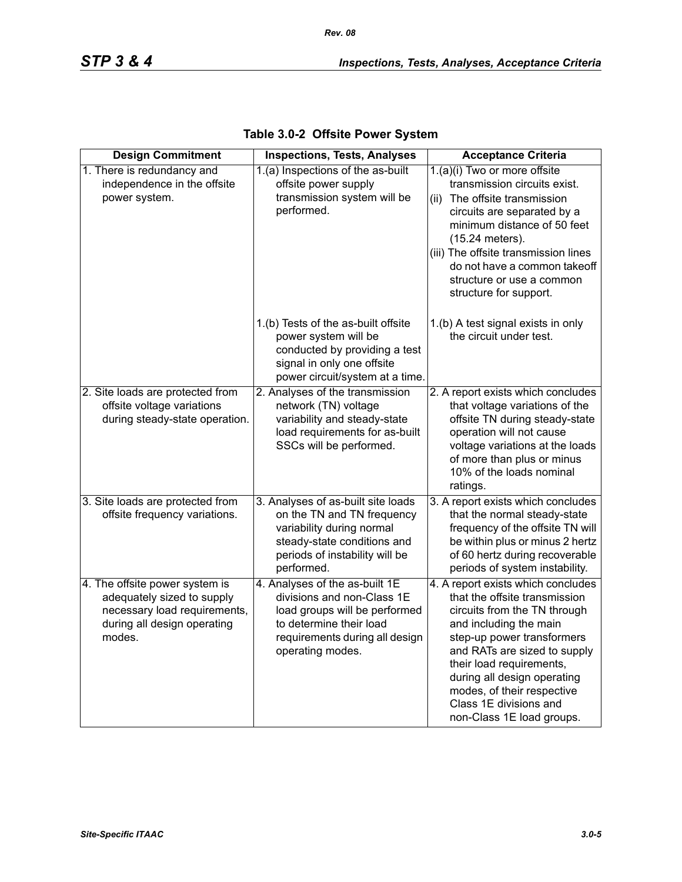| <b>Design Commitment</b>                                                                                                              | <b>Inspections, Tests, Analyses</b>                                                                                                                                            | <b>Acceptance Criteria</b>                                                                                                                                                                                                                                                                                                                  |
|---------------------------------------------------------------------------------------------------------------------------------------|--------------------------------------------------------------------------------------------------------------------------------------------------------------------------------|---------------------------------------------------------------------------------------------------------------------------------------------------------------------------------------------------------------------------------------------------------------------------------------------------------------------------------------------|
| 1. There is redundancy and<br>independence in the offsite<br>power system.                                                            | 1.(a) Inspections of the as-built<br>offsite power supply<br>transmission system will be<br>performed.                                                                         | 1.(a)(i) Two or more offsite<br>transmission circuits exist.<br>The offsite transmission<br>(ii)<br>circuits are separated by a<br>minimum distance of 50 feet<br>(15.24 meters).<br>(iii) The offsite transmission lines<br>do not have a common takeoff<br>structure or use a common<br>structure for support.                            |
|                                                                                                                                       | 1.(b) Tests of the as-built offsite<br>power system will be<br>conducted by providing a test<br>signal in only one offsite<br>power circuit/system at a time.                  | 1.(b) A test signal exists in only<br>the circuit under test.                                                                                                                                                                                                                                                                               |
| 2. Site loads are protected from<br>offsite voltage variations<br>during steady-state operation.                                      | 2. Analyses of the transmission<br>network (TN) voltage<br>variability and steady-state<br>load requirements for as-built<br>SSCs will be performed.                           | 2. A report exists which concludes<br>that voltage variations of the<br>offsite TN during steady-state<br>operation will not cause<br>voltage variations at the loads<br>of more than plus or minus<br>10% of the loads nominal<br>ratings.                                                                                                 |
| 3. Site loads are protected from<br>offsite frequency variations.                                                                     | 3. Analyses of as-built site loads<br>on the TN and TN frequency<br>variability during normal<br>steady-state conditions and<br>periods of instability will be<br>performed.   | 3. A report exists which concludes<br>that the normal steady-state<br>frequency of the offsite TN will<br>be within plus or minus 2 hertz<br>of 60 hertz during recoverable<br>periods of system instability.                                                                                                                               |
| 4. The offsite power system is<br>adequately sized to supply<br>necessary load requirements,<br>during all design operating<br>modes. | 4. Analyses of the as-built 1E<br>divisions and non-Class 1E<br>load groups will be performed<br>to determine their load<br>requirements during all design<br>operating modes. | 4. A report exists which concludes<br>that the offsite transmission<br>circuits from the TN through<br>and including the main<br>step-up power transformers<br>and RATs are sized to supply<br>their load requirements,<br>during all design operating<br>modes, of their respective<br>Class 1E divisions and<br>non-Class 1E load groups. |

| Table 3.0-2 Offsite Power System |  |  |  |
|----------------------------------|--|--|--|
|----------------------------------|--|--|--|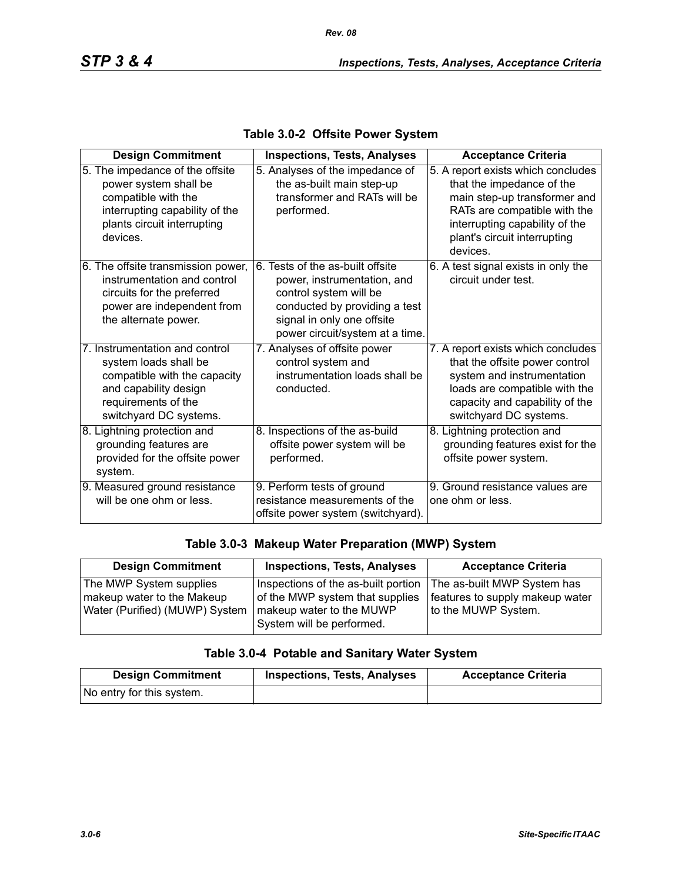| <b>Design Commitment</b>                                                                                                                                          | <b>Inspections, Tests, Analyses</b>                                                                                                                                                         | <b>Acceptance Criteria</b>                                                                                                                                                                                    |
|-------------------------------------------------------------------------------------------------------------------------------------------------------------------|---------------------------------------------------------------------------------------------------------------------------------------------------------------------------------------------|---------------------------------------------------------------------------------------------------------------------------------------------------------------------------------------------------------------|
| 5. The impedance of the offsite<br>power system shall be<br>compatible with the<br>interrupting capability of the<br>plants circuit interrupting<br>devices.      | 5. Analyses of the impedance of<br>the as-built main step-up<br>transformer and RATs will be<br>performed.                                                                                  | 5. A report exists which concludes<br>that the impedance of the<br>main step-up transformer and<br>RATs are compatible with the<br>interrupting capability of the<br>plant's circuit interrupting<br>devices. |
| 6. The offsite transmission power,<br>instrumentation and control<br>circuits for the preferred<br>power are independent from<br>the alternate power.             | 6. Tests of the as-built offsite<br>power, instrumentation, and<br>control system will be<br>conducted by providing a test<br>signal in only one offsite<br>power circuit/system at a time. | 6. A test signal exists in only the<br>circuit under test.                                                                                                                                                    |
| 7. Instrumentation and control<br>system loads shall be<br>compatible with the capacity<br>and capability design<br>requirements of the<br>switchyard DC systems. | 7. Analyses of offsite power<br>control system and<br>instrumentation loads shall be<br>conducted.                                                                                          | 7. A report exists which concludes<br>that the offsite power control<br>system and instrumentation<br>loads are compatible with the<br>capacity and capability of the<br>switchyard DC systems.               |
| 8. Lightning protection and<br>grounding features are<br>provided for the offsite power<br>system.                                                                | 8. Inspections of the as-build<br>offsite power system will be<br>performed.                                                                                                                | 8. Lightning protection and<br>grounding features exist for the<br>offsite power system.                                                                                                                      |
| 9. Measured ground resistance<br>will be one ohm or less.                                                                                                         | 9. Perform tests of ground<br>resistance measurements of the<br>offsite power system (switchyard).                                                                                          | 9. Ground resistance values are<br>one ohm or less.                                                                                                                                                           |

#### **Table 3.0-2 Offsite Power System**

#### **Table 3.0-3 Makeup Water Preparation (MWP) System**

| <b>Design Commitment</b>       | <b>Inspections, Tests, Analyses</b> | <b>Acceptance Criteria</b>      |
|--------------------------------|-------------------------------------|---------------------------------|
| The MWP System supplies        | Inspections of the as-built portion | The as-built MWP System has     |
| makeup water to the Makeup     | of the MWP system that supplies     | features to supply makeup water |
| Water (Purified) (MUWP) System | makeup water to the MUWP            | to the MUWP System.             |
|                                | System will be performed.           |                                 |

## **Table 3.0-4 Potable and Sanitary Water System**

| <b>Design Commitment</b>  | <b>Inspections, Tests, Analyses</b> | <b>Acceptance Criteria</b> |
|---------------------------|-------------------------------------|----------------------------|
| No entry for this system. |                                     |                            |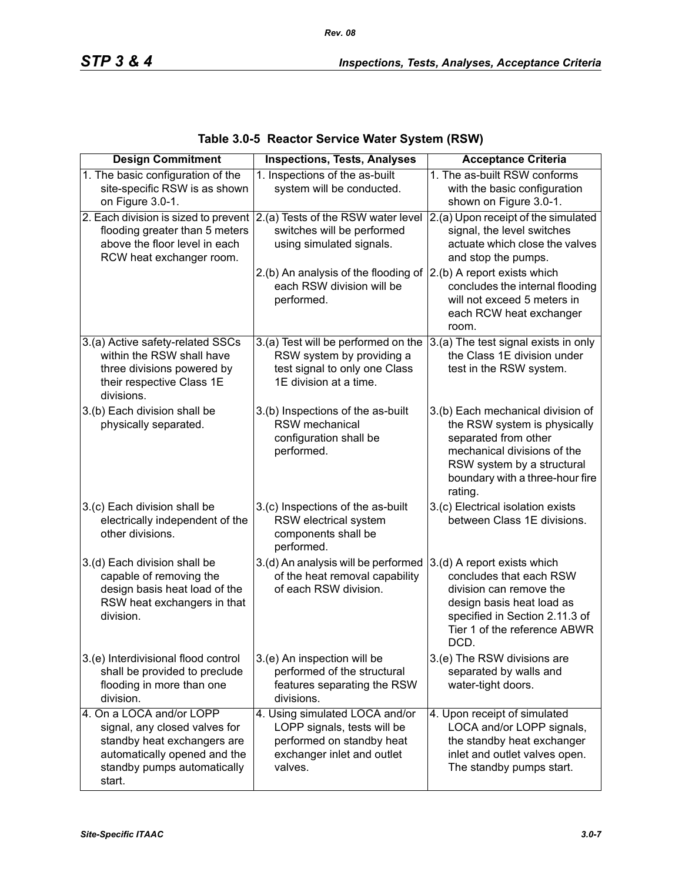*Rev. 08*

| <b>Design Commitment</b>                                                                                                                                          | <b>Inspections, Tests, Analyses</b>                                                                                                 | <b>Acceptance Criteria</b>                                                                                                                                                                           |
|-------------------------------------------------------------------------------------------------------------------------------------------------------------------|-------------------------------------------------------------------------------------------------------------------------------------|------------------------------------------------------------------------------------------------------------------------------------------------------------------------------------------------------|
| 1. The basic configuration of the<br>site-specific RSW is as shown<br>on Figure 3.0-1.                                                                            | 1. Inspections of the as-built<br>system will be conducted.                                                                         | 1. The as-built RSW conforms<br>with the basic configuration<br>shown on Figure 3.0-1.                                                                                                               |
| 2. Each division is sized to prevent<br>flooding greater than 5 meters<br>above the floor level in each<br>RCW heat exchanger room.                               | 2.(a) Tests of the RSW water level<br>switches will be performed<br>using simulated signals.                                        | 2.(a) Upon receipt of the simulated<br>signal, the level switches<br>actuate which close the valves<br>and stop the pumps.                                                                           |
|                                                                                                                                                                   | 2.(b) An analysis of the flooding of<br>each RSW division will be<br>performed.                                                     | 2.(b) A report exists which<br>concludes the internal flooding<br>will not exceed 5 meters in<br>each RCW heat exchanger<br>room.                                                                    |
| 3.(a) Active safety-related SSCs<br>within the RSW shall have<br>three divisions powered by<br>their respective Class 1E<br>divisions.                            | 3.(a) Test will be performed on the<br>RSW system by providing a<br>test signal to only one Class<br>1E division at a time.         | 3.(a) The test signal exists in only<br>the Class 1E division under<br>test in the RSW system.                                                                                                       |
| 3.(b) Each division shall be<br>physically separated.                                                                                                             | 3.(b) Inspections of the as-built<br>RSW mechanical<br>configuration shall be<br>performed.                                         | 3.(b) Each mechanical division of<br>the RSW system is physically<br>separated from other<br>mechanical divisions of the<br>RSW system by a structural<br>boundary with a three-hour fire<br>rating. |
| 3.(c) Each division shall be<br>electrically independent of the<br>other divisions.                                                                               | 3.(c) Inspections of the as-built<br>RSW electrical system<br>components shall be<br>performed.                                     | 3.(c) Electrical isolation exists<br>between Class 1E divisions.                                                                                                                                     |
| 3.(d) Each division shall be<br>capable of removing the<br>design basis heat load of the<br>RSW heat exchangers in that<br>division.                              | 3.(d) An analysis will be performed<br>of the heat removal capability<br>of each RSW division.                                      | 3.(d) A report exists which<br>concludes that each RSW<br>division can remove the<br>design basis heat load as<br>specified in Section 2.11.3 of<br>Tier 1 of the reference ABWR<br>DCD.             |
| 3.(e) Interdivisional flood control<br>shall be provided to preclude<br>flooding in more than one<br>division.                                                    | 3.(e) An inspection will be<br>performed of the structural<br>features separating the RSW<br>divisions.                             | 3.(e) The RSW divisions are<br>separated by walls and<br>water-tight doors.                                                                                                                          |
| 4. On a LOCA and/or LOPP<br>signal, any closed valves for<br>standby heat exchangers are<br>automatically opened and the<br>standby pumps automatically<br>start. | 4. Using simulated LOCA and/or<br>LOPP signals, tests will be<br>performed on standby heat<br>exchanger inlet and outlet<br>valves. | 4. Upon receipt of simulated<br>LOCA and/or LOPP signals,<br>the standby heat exchanger<br>inlet and outlet valves open.<br>The standby pumps start.                                                 |

## **Table 3.0-5 Reactor Service Water System (RSW)**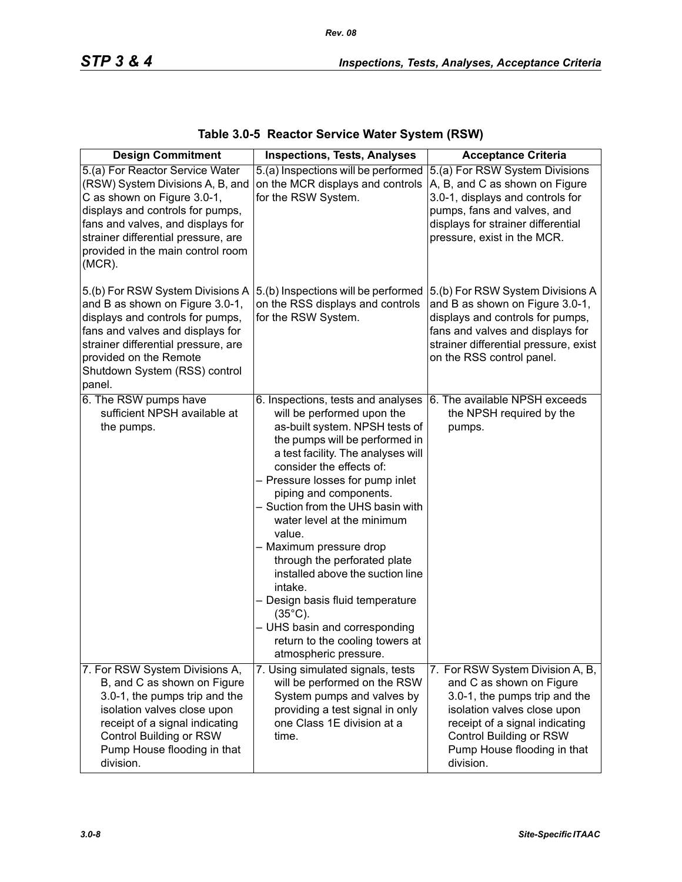| <b>Design Commitment</b>                                                                                                                                                                                                                                             | <b>Inspections, Tests, Analyses</b>                                                                                                                                                                                                                                                                                                                                                                                                                                                                                                                                                                               | <b>Acceptance Criteria</b>                                                                                                                                                                                                            |
|----------------------------------------------------------------------------------------------------------------------------------------------------------------------------------------------------------------------------------------------------------------------|-------------------------------------------------------------------------------------------------------------------------------------------------------------------------------------------------------------------------------------------------------------------------------------------------------------------------------------------------------------------------------------------------------------------------------------------------------------------------------------------------------------------------------------------------------------------------------------------------------------------|---------------------------------------------------------------------------------------------------------------------------------------------------------------------------------------------------------------------------------------|
| 5.(a) For Reactor Service Water<br>(RSW) System Divisions A, B, and<br>C as shown on Figure 3.0-1,<br>displays and controls for pumps,<br>fans and valves, and displays for<br>strainer differential pressure, are<br>provided in the main control room<br>$(MCR)$ . | 5.(a) Inspections will be performed<br>on the MCR displays and controls<br>for the RSW System.                                                                                                                                                                                                                                                                                                                                                                                                                                                                                                                    | 5.(a) For RSW System Divisions<br>A, B, and C as shown on Figure<br>3.0-1, displays and controls for<br>pumps, fans and valves, and<br>displays for strainer differential<br>pressure, exist in the MCR.                              |
| 5.(b) For RSW System Divisions A<br>and B as shown on Figure 3.0-1,<br>displays and controls for pumps,<br>fans and valves and displays for<br>strainer differential pressure, are<br>provided on the Remote<br>Shutdown System (RSS) control<br>panel.              | 5.(b) Inspections will be performed<br>on the RSS displays and controls<br>for the RSW System.                                                                                                                                                                                                                                                                                                                                                                                                                                                                                                                    | 5.(b) For RSW System Divisions A<br>and B as shown on Figure 3.0-1,<br>displays and controls for pumps,<br>fans and valves and displays for<br>strainer differential pressure, exist<br>on the RSS control panel.                     |
| 6. The RSW pumps have<br>sufficient NPSH available at<br>the pumps.                                                                                                                                                                                                  | 6. Inspections, tests and analyses<br>will be performed upon the<br>as-built system. NPSH tests of<br>the pumps will be performed in<br>a test facility. The analyses will<br>consider the effects of:<br>- Pressure losses for pump inlet<br>piping and components.<br>- Suction from the UHS basin with<br>water level at the minimum<br>value.<br>- Maximum pressure drop<br>through the perforated plate<br>installed above the suction line<br>intake.<br>- Design basis fluid temperature<br>$(35^{\circ}C)$ .<br>- UHS basin and corresponding<br>return to the cooling towers at<br>atmospheric pressure. | 6. The available NPSH exceeds<br>the NPSH required by the<br>pumps.                                                                                                                                                                   |
| 7. For RSW System Divisions A,<br>B, and C as shown on Figure<br>3.0-1, the pumps trip and the<br>isolation valves close upon<br>receipt of a signal indicating<br>Control Building or RSW<br>Pump House flooding in that<br>division.                               | 7. Using simulated signals, tests<br>will be performed on the RSW<br>System pumps and valves by<br>providing a test signal in only<br>one Class 1E division at a<br>time.                                                                                                                                                                                                                                                                                                                                                                                                                                         | 7. For RSW System Division A, B,<br>and C as shown on Figure<br>3.0-1, the pumps trip and the<br>isolation valves close upon<br>receipt of a signal indicating<br>Control Building or RSW<br>Pump House flooding in that<br>division. |

| Table 3.0-5 Reactor Service Water System (RSW) |  |  |  |  |  |
|------------------------------------------------|--|--|--|--|--|
|------------------------------------------------|--|--|--|--|--|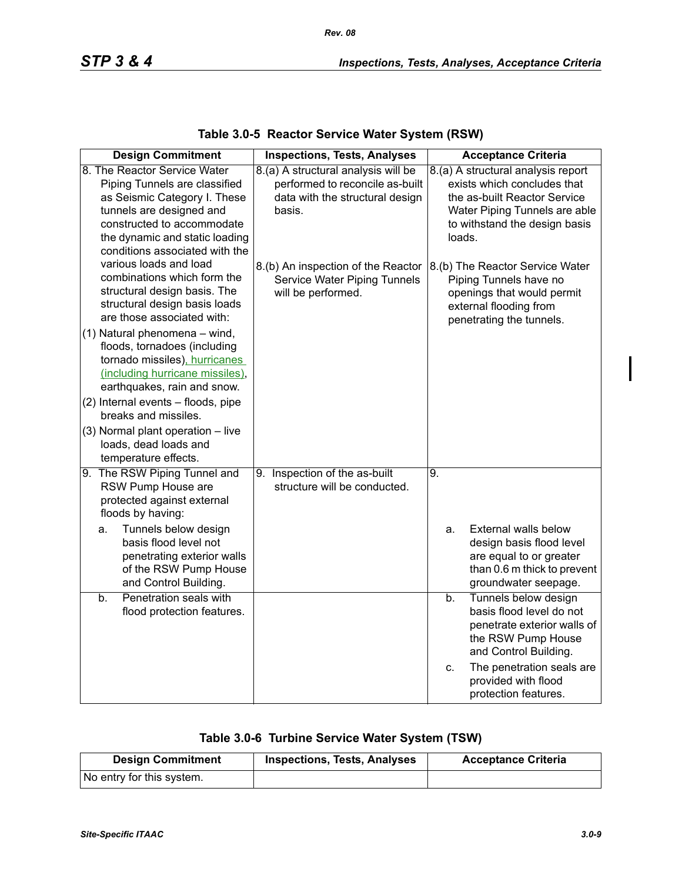| <b>Design Commitment</b>                                                                                                                                                                                                    | <b>Inspections, Tests, Analyses</b>                                                                                 | <b>Acceptance Criteria</b>                                                                                                                                                    |
|-----------------------------------------------------------------------------------------------------------------------------------------------------------------------------------------------------------------------------|---------------------------------------------------------------------------------------------------------------------|-------------------------------------------------------------------------------------------------------------------------------------------------------------------------------|
| 8. The Reactor Service Water<br>Piping Tunnels are classified<br>as Seismic Category I. These<br>tunnels are designed and<br>constructed to accommodate<br>the dynamic and static loading<br>conditions associated with the | 8.(a) A structural analysis will be<br>performed to reconcile as-built<br>data with the structural design<br>basis. | 8.(a) A structural analysis report<br>exists which concludes that<br>the as-built Reactor Service<br>Water Piping Tunnels are able<br>to withstand the design basis<br>loads. |
| various loads and load<br>combinations which form the<br>structural design basis. The<br>structural design basis loads<br>are those associated with:                                                                        | 8.(b) An inspection of the Reactor<br>Service Water Piping Tunnels<br>will be performed.                            | 8.(b) The Reactor Service Water<br>Piping Tunnels have no<br>openings that would permit<br>external flooding from<br>penetrating the tunnels.                                 |
| (1) Natural phenomena - wind,<br>floods, tornadoes (including<br>tornado missiles), hurricanes<br>(including hurricane missiles),<br>earthquakes, rain and snow.                                                            |                                                                                                                     |                                                                                                                                                                               |
| (2) Internal events - floods, pipe<br>breaks and missiles.                                                                                                                                                                  |                                                                                                                     |                                                                                                                                                                               |
| (3) Normal plant operation - live<br>loads, dead loads and<br>temperature effects.                                                                                                                                          |                                                                                                                     |                                                                                                                                                                               |
| 9. The RSW Piping Tunnel and<br>RSW Pump House are<br>protected against external<br>floods by having:                                                                                                                       | 9. Inspection of the as-built<br>structure will be conducted.                                                       | 9.                                                                                                                                                                            |
| Tunnels below design<br>a.<br>basis flood level not<br>penetrating exterior walls<br>of the RSW Pump House<br>and Control Building.                                                                                         |                                                                                                                     | External walls below<br>a.<br>design basis flood level<br>are equal to or greater<br>than 0.6 m thick to prevent<br>groundwater seepage.                                      |
| Penetration seals with<br>b.<br>flood protection features.                                                                                                                                                                  |                                                                                                                     | Tunnels below design<br>b.<br>basis flood level do not<br>penetrate exterior walls of<br>the RSW Pump House<br>and Control Building.                                          |
|                                                                                                                                                                                                                             |                                                                                                                     | The penetration seals are<br>C.<br>provided with flood<br>protection features.                                                                                                |

### **Table 3.0-5 Reactor Service Water System (RSW)**

## **Table 3.0-6 Turbine Service Water System (TSW)**

| <b>Design Commitment</b>  | <b>Inspections, Tests, Analyses</b> | <b>Acceptance Criteria</b> |
|---------------------------|-------------------------------------|----------------------------|
| No entry for this system. |                                     |                            |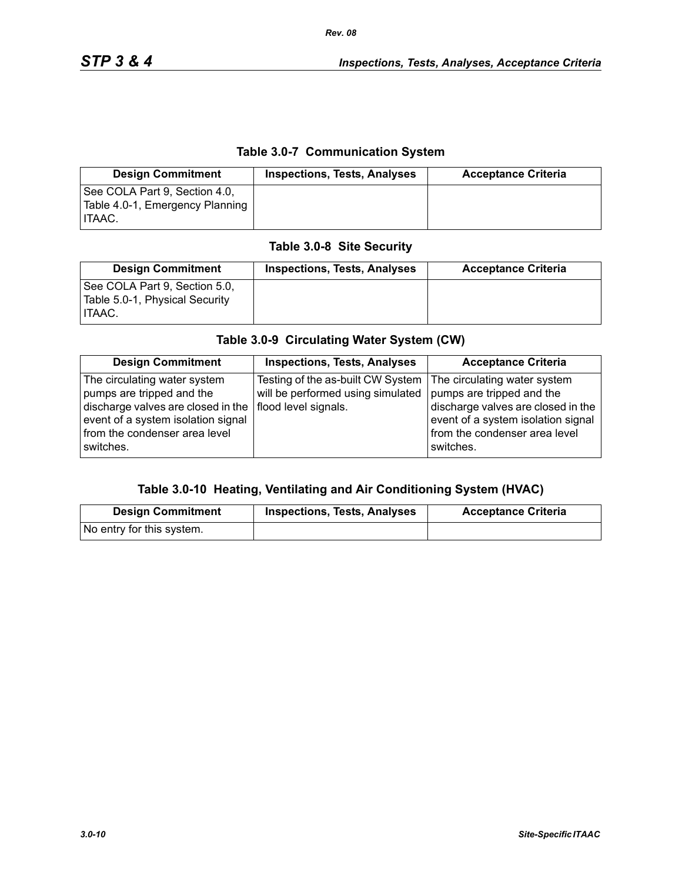### **Table 3.0-7 Communication System**

| <b>Design Commitment</b>                                                          | <b>Inspections, Tests, Analyses</b> | <b>Acceptance Criteria</b> |
|-----------------------------------------------------------------------------------|-------------------------------------|----------------------------|
| See COLA Part 9, Section 4.0,<br>Table 4.0-1, Emergency Planning<br><b>ITAAC.</b> |                                     |                            |

#### **Table 3.0-8 Site Security**

| <b>Design Commitment</b>                                                         | <b>Inspections, Tests, Analyses</b> | <b>Acceptance Criteria</b> |
|----------------------------------------------------------------------------------|-------------------------------------|----------------------------|
| See COLA Part 9, Section 5.0,<br>Table 5.0-1, Physical Security<br><b>ITAAC.</b> |                                     |                            |

# **Table 3.0-9 Circulating Water System (CW)**

| <b>Design Commitment</b>                                                                                                                                                                                   | <b>Inspections, Tests, Analyses</b>                                    | <b>Acceptance Criteria</b>                                                                                                                                                          |
|------------------------------------------------------------------------------------------------------------------------------------------------------------------------------------------------------------|------------------------------------------------------------------------|-------------------------------------------------------------------------------------------------------------------------------------------------------------------------------------|
| The circulating water system<br>pumps are tripped and the<br>discharge valves are closed in the   flood level signals.<br>event of a system isolation signal<br>from the condenser area level<br>switches. | Testing of the as-built CW System<br>will be performed using simulated | The circulating water system<br>pumps are tripped and the<br>discharge valves are closed in the<br>event of a system isolation signal<br>from the condenser area level<br>switches. |

#### **Table 3.0-10 Heating, Ventilating and Air Conditioning System (HVAC)**

| <b>Design Commitment</b>  | <b>Inspections, Tests, Analyses</b> | <b>Acceptance Criteria</b> |
|---------------------------|-------------------------------------|----------------------------|
| No entry for this system. |                                     |                            |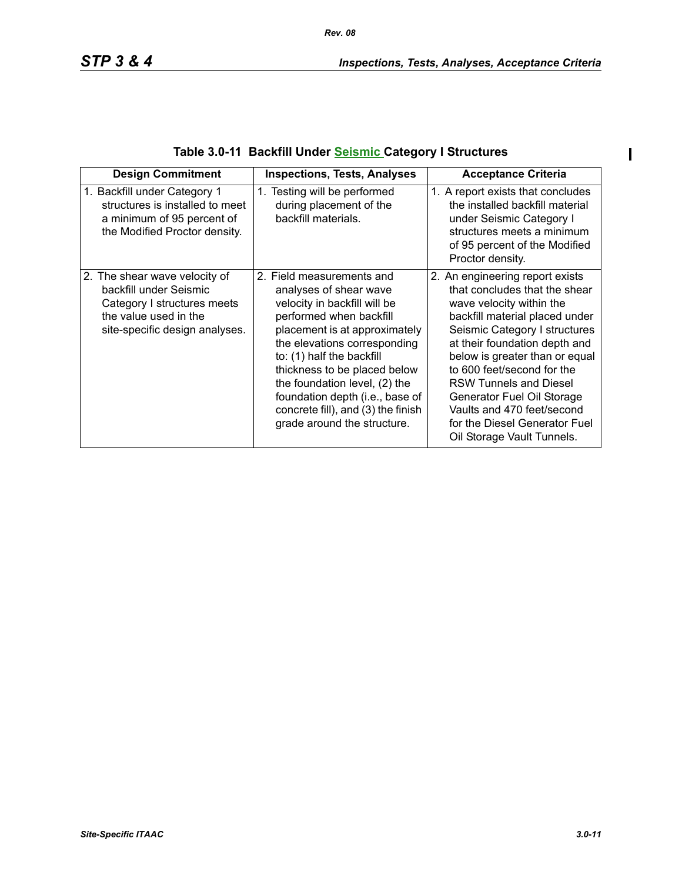$\mathbf I$ 

| <b>Design Commitment</b>                                                                                                                          | <b>Inspections, Tests, Analyses</b>                                                                                                                                                                                                                                                                                                                                                   | <b>Acceptance Criteria</b>                                                                                                                                                                                                                                                                                                                                                                                                   |
|---------------------------------------------------------------------------------------------------------------------------------------------------|---------------------------------------------------------------------------------------------------------------------------------------------------------------------------------------------------------------------------------------------------------------------------------------------------------------------------------------------------------------------------------------|------------------------------------------------------------------------------------------------------------------------------------------------------------------------------------------------------------------------------------------------------------------------------------------------------------------------------------------------------------------------------------------------------------------------------|
| 1. Backfill under Category 1<br>structures is installed to meet<br>a minimum of 95 percent of<br>the Modified Proctor density.                    | 1. Testing will be performed<br>during placement of the<br>backfill materials.                                                                                                                                                                                                                                                                                                        | 1. A report exists that concludes<br>the installed backfill material<br>under Seismic Category I<br>structures meets a minimum<br>of 95 percent of the Modified<br>Proctor density.                                                                                                                                                                                                                                          |
| 2. The shear wave velocity of<br>backfill under Seismic<br>Category I structures meets<br>the value used in the<br>site-specific design analyses. | 2. Field measurements and<br>analyses of shear wave<br>velocity in backfill will be<br>performed when backfill<br>placement is at approximately<br>the elevations corresponding<br>to: (1) half the backfill<br>thickness to be placed below<br>the foundation level, (2) the<br>foundation depth (i.e., base of<br>concrete fill), and (3) the finish<br>grade around the structure. | 2. An engineering report exists<br>that concludes that the shear<br>wave velocity within the<br>backfill material placed under<br>Seismic Category I structures<br>at their foundation depth and<br>below is greater than or equal<br>to 600 feet/second for the<br><b>RSW Tunnels and Diesel</b><br>Generator Fuel Oil Storage<br>Vaults and 470 feet/second<br>for the Diesel Generator Fuel<br>Oil Storage Vault Tunnels. |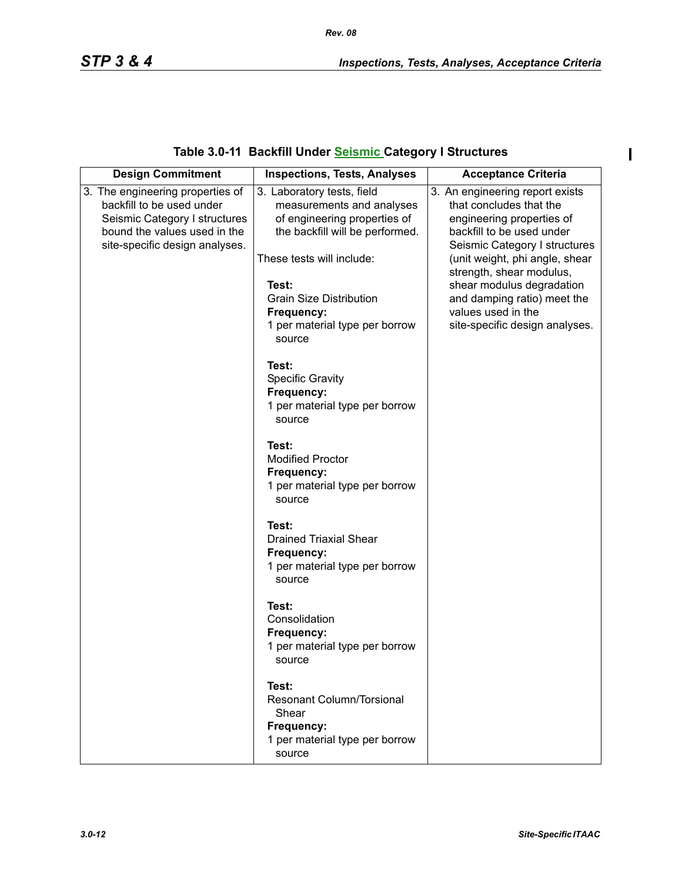$\mathbf{I}$ 

## **Table 3.0-11 Backfill Under Seismic Category I Structures**

| <b>Design Commitment</b>                                                                                                                                         | <b>Inspections, Tests, Analyses</b>                                                                                                                                                                                                                | <b>Acceptance Criteria</b>                                                                                                                                                                                                                                                                                                              |
|------------------------------------------------------------------------------------------------------------------------------------------------------------------|----------------------------------------------------------------------------------------------------------------------------------------------------------------------------------------------------------------------------------------------------|-----------------------------------------------------------------------------------------------------------------------------------------------------------------------------------------------------------------------------------------------------------------------------------------------------------------------------------------|
| 3. The engineering properties of<br>backfill to be used under<br>Seismic Category I structures<br>bound the values used in the<br>site-specific design analyses. | 3. Laboratory tests, field<br>measurements and analyses<br>of engineering properties of<br>the backfill will be performed.<br>These tests will include:<br>Test:<br><b>Grain Size Distribution</b><br>Frequency:<br>1 per material type per borrow | 3. An engineering report exists<br>that concludes that the<br>engineering properties of<br>backfill to be used under<br>Seismic Category I structures<br>(unit weight, phi angle, shear<br>strength, shear modulus,<br>shear modulus degradation<br>and damping ratio) meet the<br>values used in the<br>site-specific design analyses. |
|                                                                                                                                                                  | source<br>Test:<br><b>Specific Gravity</b><br>Frequency:<br>1 per material type per borrow<br>source<br>Test:                                                                                                                                      |                                                                                                                                                                                                                                                                                                                                         |
|                                                                                                                                                                  | <b>Modified Proctor</b><br>Frequency:<br>1 per material type per borrow<br>source<br>Test:                                                                                                                                                         |                                                                                                                                                                                                                                                                                                                                         |
|                                                                                                                                                                  | <b>Drained Triaxial Shear</b><br>Frequency:<br>1 per material type per borrow<br>source                                                                                                                                                            |                                                                                                                                                                                                                                                                                                                                         |
|                                                                                                                                                                  | Test:<br>Consolidation<br>Frequency:<br>1 per material type per borrow<br>source                                                                                                                                                                   |                                                                                                                                                                                                                                                                                                                                         |
|                                                                                                                                                                  | Test:<br><b>Resonant Column/Torsional</b><br>Shear<br>Frequency:<br>1 per material type per borrow<br>source                                                                                                                                       |                                                                                                                                                                                                                                                                                                                                         |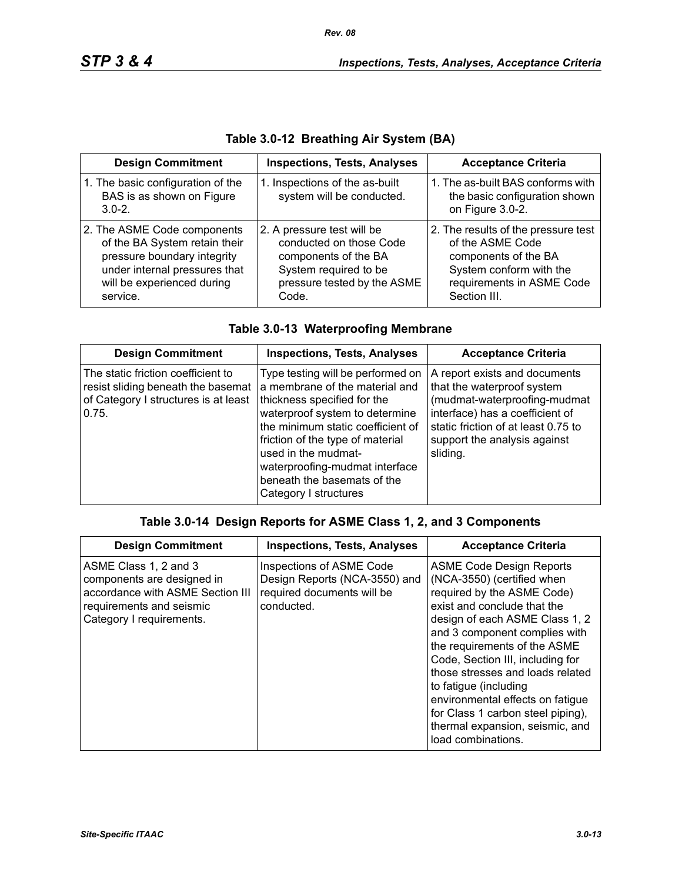| <b>Design Commitment</b>                                                                                                                                               | <b>Inspections, Tests, Analyses</b>                                                                                                            | <b>Acceptance Criteria</b>                                                                                                                              |
|------------------------------------------------------------------------------------------------------------------------------------------------------------------------|------------------------------------------------------------------------------------------------------------------------------------------------|---------------------------------------------------------------------------------------------------------------------------------------------------------|
| 1. The basic configuration of the<br>BAS is as shown on Figure<br>$3.0 - 2.$                                                                                           | 1. Inspections of the as-built<br>system will be conducted.                                                                                    | 1. The as-built BAS conforms with<br>the basic configuration shown<br>on Figure 3.0-2.                                                                  |
| 2. The ASME Code components<br>of the BA System retain their<br>pressure boundary integrity<br>under internal pressures that<br>will be experienced during<br>service. | 2. A pressure test will be<br>conducted on those Code<br>components of the BA<br>System required to be<br>pressure tested by the ASME<br>Code. | 2. The results of the pressure test<br>of the ASME Code<br>components of the BA<br>System conform with the<br>requirements in ASME Code<br>Section III. |

## **Table 3.0-12 Breathing Air System (BA)**

|  |  | Table 3.0-13 Waterproofing Membrane |
|--|--|-------------------------------------|
|  |  |                                     |

| <b>Design Commitment</b>                                                                                                  | <b>Inspections, Tests, Analyses</b>                                                                                                                                                                                                                                                                                            | <b>Acceptance Criteria</b>                                                                                                                                                                                        |
|---------------------------------------------------------------------------------------------------------------------------|--------------------------------------------------------------------------------------------------------------------------------------------------------------------------------------------------------------------------------------------------------------------------------------------------------------------------------|-------------------------------------------------------------------------------------------------------------------------------------------------------------------------------------------------------------------|
| The static friction coefficient to<br>resist sliding beneath the basemat<br>of Category I structures is at least<br>0.75. | Type testing will be performed on<br>a membrane of the material and<br>thickness specified for the<br>waterproof system to determine<br>the minimum static coefficient of<br>friction of the type of material<br>used in the mudmat-<br>waterproofing-mudmat interface<br>beneath the basemats of the<br>Category I structures | A report exists and documents<br>that the waterproof system<br>(mudmat-waterproofing-mudmat<br>interface) has a coefficient of<br>static friction of at least 0.75 to<br>support the analysis against<br>sliding. |

### **Table 3.0-14 Design Reports for ASME Class 1, 2, and 3 Components**

| <b>Design Commitment</b>                                                                                                                        | <b>Inspections, Tests, Analyses</b>                                                                   | <b>Acceptance Criteria</b>                                                                                                                                                                                                                                                                                                                                                                                                                                       |
|-------------------------------------------------------------------------------------------------------------------------------------------------|-------------------------------------------------------------------------------------------------------|------------------------------------------------------------------------------------------------------------------------------------------------------------------------------------------------------------------------------------------------------------------------------------------------------------------------------------------------------------------------------------------------------------------------------------------------------------------|
| ASME Class 1, 2 and 3<br>components are designed in<br>accordance with ASME Section III<br>requirements and seismic<br>Category I requirements. | Inspections of ASME Code<br>Design Reports (NCA-3550) and<br>required documents will be<br>conducted. | <b>ASME Code Design Reports</b><br>(NCA-3550) (certified when<br>required by the ASME Code)<br>exist and conclude that the<br>design of each ASME Class 1, 2<br>and 3 component complies with<br>the requirements of the ASME<br>Code, Section III, including for<br>those stresses and loads related<br>to fatigue (including<br>environmental effects on fatigue<br>for Class 1 carbon steel piping),<br>thermal expansion, seismic, and<br>load combinations. |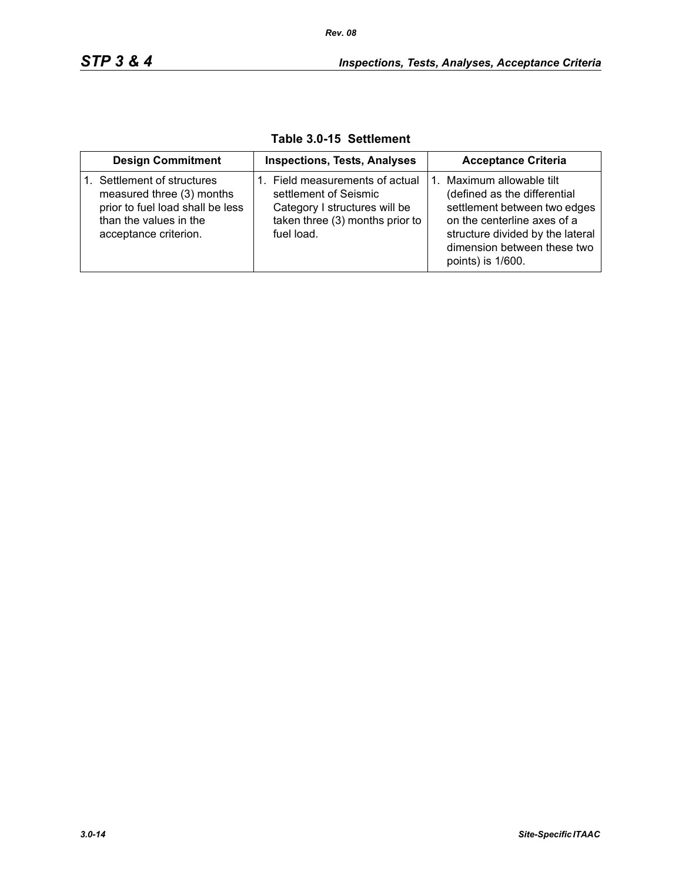| <b>Design Commitment</b>                                                                                                                     | <b>Inspections, Tests, Analyses</b>                                                                                                        | <b>Acceptance Criteria</b>                                                                                                                                                                                    |
|----------------------------------------------------------------------------------------------------------------------------------------------|--------------------------------------------------------------------------------------------------------------------------------------------|---------------------------------------------------------------------------------------------------------------------------------------------------------------------------------------------------------------|
| Settlement of structures<br>measured three (3) months<br>prior to fuel load shall be less<br>than the values in the<br>acceptance criterion. | 1. Field measurements of actual<br>settlement of Seismic<br>Category I structures will be<br>taken three (3) months prior to<br>fuel load. | Maximum allowable tilt<br>(defined as the differential<br>settlement between two edges<br>on the centerline axes of a<br>structure divided by the lateral<br>dimension between these two<br>points) is 1/600. |

**Table 3.0-15 Settlement**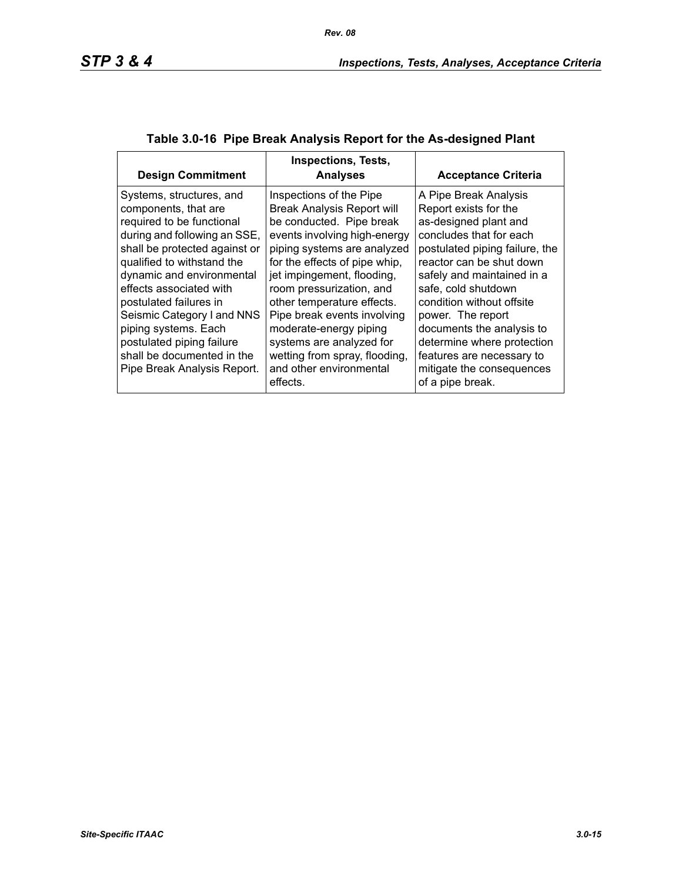| <b>Design Commitment</b>                                                                                                                                                                                                                                                                                                                                                                                       | <b>Inspections, Tests,</b><br><b>Analyses</b>                                                                                                                                                                                                                                                                                                                                                                                                 | <b>Acceptance Criteria</b>                                                                                                                                                                                                                                                                                                                                                                                       |
|----------------------------------------------------------------------------------------------------------------------------------------------------------------------------------------------------------------------------------------------------------------------------------------------------------------------------------------------------------------------------------------------------------------|-----------------------------------------------------------------------------------------------------------------------------------------------------------------------------------------------------------------------------------------------------------------------------------------------------------------------------------------------------------------------------------------------------------------------------------------------|------------------------------------------------------------------------------------------------------------------------------------------------------------------------------------------------------------------------------------------------------------------------------------------------------------------------------------------------------------------------------------------------------------------|
| Systems, structures, and<br>components, that are<br>required to be functional<br>during and following an SSE,<br>shall be protected against or<br>qualified to withstand the<br>dynamic and environmental<br>effects associated with<br>postulated failures in<br>Seismic Category I and NNS<br>piping systems. Each<br>postulated piping failure<br>shall be documented in the<br>Pipe Break Analysis Report. | Inspections of the Pipe<br><b>Break Analysis Report will</b><br>be conducted. Pipe break<br>events involving high-energy<br>piping systems are analyzed<br>for the effects of pipe whip,<br>jet impingement, flooding,<br>room pressurization, and<br>other temperature effects.<br>Pipe break events involving<br>moderate-energy piping<br>systems are analyzed for<br>wetting from spray, flooding,<br>and other environmental<br>effects. | A Pipe Break Analysis<br>Report exists for the<br>as-designed plant and<br>concludes that for each<br>postulated piping failure, the<br>reactor can be shut down<br>safely and maintained in a<br>safe, cold shutdown<br>condition without offsite<br>power. The report<br>documents the analysis to<br>determine where protection<br>features are necessary to<br>mitigate the consequences<br>of a pipe break. |

## **Table 3.0-16 Pipe Break Analysis Report for the As-designed Plant**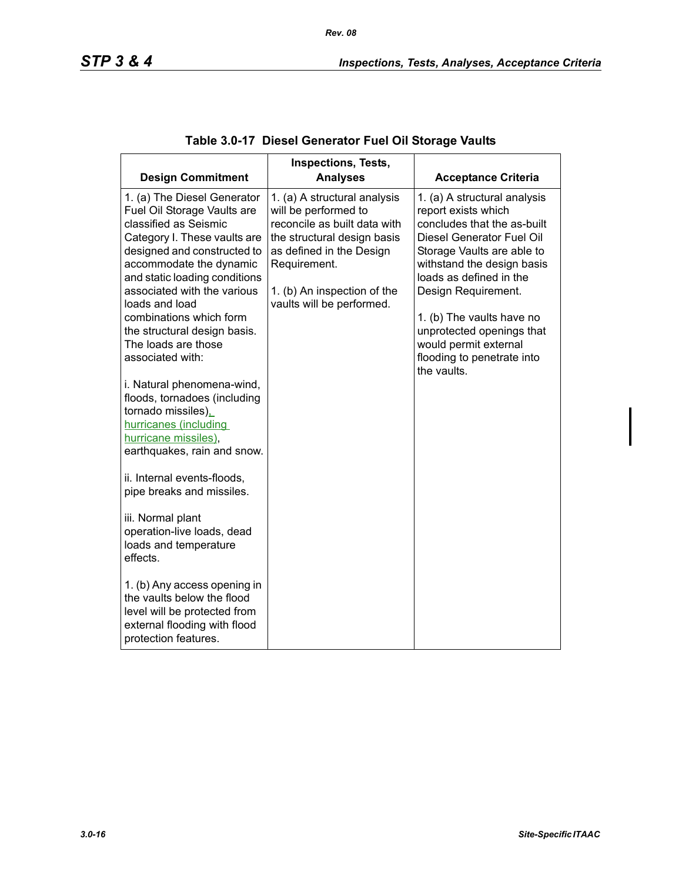| <b>Design Commitment</b>                                   | <b>Inspections, Tests,</b><br><b>Analyses</b>            | <b>Acceptance Criteria</b>                          |
|------------------------------------------------------------|----------------------------------------------------------|-----------------------------------------------------|
|                                                            |                                                          |                                                     |
| 1. (a) The Diesel Generator<br>Fuel Oil Storage Vaults are | 1. (a) A structural analysis<br>will be performed to     | 1. (a) A structural analysis<br>report exists which |
| classified as Seismic                                      | reconcile as built data with                             | concludes that the as-built                         |
| Category I. These vaults are                               | the structural design basis                              | Diesel Generator Fuel Oil                           |
| designed and constructed to                                | as defined in the Design                                 | Storage Vaults are able to                          |
| accommodate the dynamic                                    | Requirement.                                             | withstand the design basis                          |
| and static loading conditions                              |                                                          | loads as defined in the                             |
| associated with the various<br>loads and load              | 1. (b) An inspection of the<br>vaults will be performed. | Design Requirement.                                 |
| combinations which form                                    |                                                          | 1. (b) The vaults have no                           |
| the structural design basis.                               |                                                          | unprotected openings that                           |
| The loads are those                                        |                                                          | would permit external                               |
| associated with:                                           |                                                          | flooding to penetrate into                          |
|                                                            |                                                          | the vaults.                                         |
| i. Natural phenomena-wind,<br>floods, tornadoes (including |                                                          |                                                     |
| tornado missiles).                                         |                                                          |                                                     |
| hurricanes (including                                      |                                                          |                                                     |
| hurricane missiles),                                       |                                                          |                                                     |
| earthquakes, rain and snow.                                |                                                          |                                                     |
| ii. Internal events-floods,                                |                                                          |                                                     |
| pipe breaks and missiles.                                  |                                                          |                                                     |
|                                                            |                                                          |                                                     |
| iii. Normal plant                                          |                                                          |                                                     |
| operation-live loads, dead                                 |                                                          |                                                     |
| loads and temperature<br>effects.                          |                                                          |                                                     |
|                                                            |                                                          |                                                     |
| 1. (b) Any access opening in                               |                                                          |                                                     |
| the vaults below the flood                                 |                                                          |                                                     |
| level will be protected from                               |                                                          |                                                     |
| external flooding with flood<br>protection features.       |                                                          |                                                     |
|                                                            |                                                          |                                                     |

## **Table 3.0-17 Diesel Generator Fuel Oil Storage Vaults**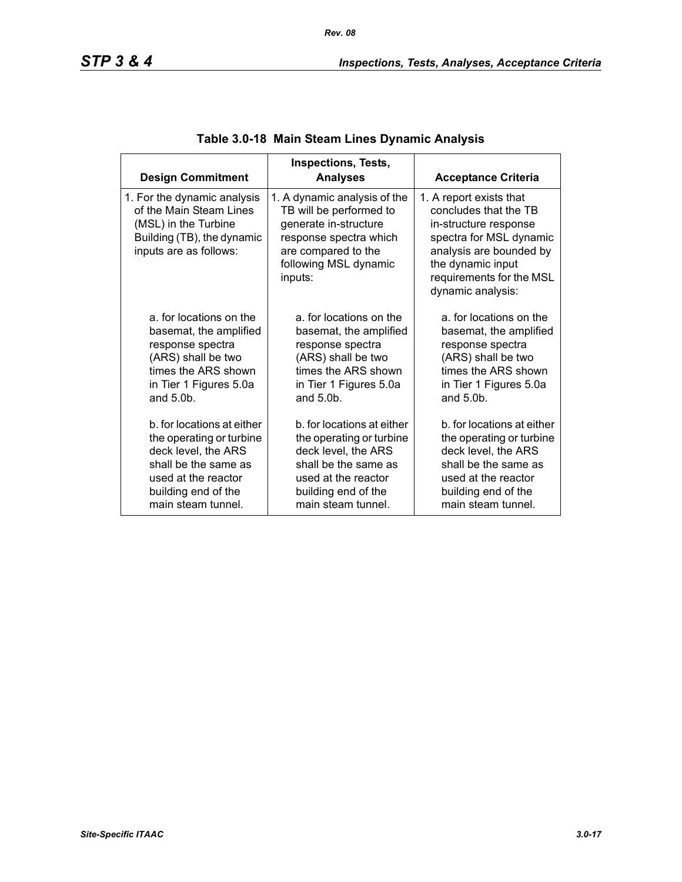| <b>Design Commitment</b>                                                                                                               | <b>Inspections, Tests,</b><br><b>Analyses</b>                                                                                                                         | <b>Acceptance Criteria</b>                                                                                                                                                                            |
|----------------------------------------------------------------------------------------------------------------------------------------|-----------------------------------------------------------------------------------------------------------------------------------------------------------------------|-------------------------------------------------------------------------------------------------------------------------------------------------------------------------------------------------------|
| 1. For the dynamic analysis<br>of the Main Steam Lines<br>(MSL) in the Turbine<br>Building (TB), the dynamic<br>inputs are as follows: | 1. A dynamic analysis of the<br>TB will be performed to<br>generate in-structure<br>response spectra which<br>are compared to the<br>following MSL dynamic<br>inputs: | 1. A report exists that<br>concludes that the TB<br>in-structure response<br>spectra for MSL dynamic<br>analysis are bounded by<br>the dynamic input<br>requirements for the MSL<br>dynamic analysis: |
| a, for locations on the                                                                                                                | a, for locations on the                                                                                                                                               | a, for locations on the                                                                                                                                                                               |
| basemat, the amplified                                                                                                                 | basemat, the amplified                                                                                                                                                | basemat, the amplified                                                                                                                                                                                |
| response spectra                                                                                                                       | response spectra                                                                                                                                                      | response spectra                                                                                                                                                                                      |
| (ARS) shall be two                                                                                                                     | (ARS) shall be two                                                                                                                                                    | (ARS) shall be two                                                                                                                                                                                    |
| times the ARS shown                                                                                                                    | times the ARS shown                                                                                                                                                   | times the ARS shown                                                                                                                                                                                   |
| in Tier 1 Figures 5.0a                                                                                                                 | in Tier 1 Figures 5.0a                                                                                                                                                | in Tier 1 Figures 5.0a                                                                                                                                                                                |
| and $5.0b$ .                                                                                                                           | and $5.0b$ .                                                                                                                                                          | and $5.0b$ .                                                                                                                                                                                          |
| b, for locations at either                                                                                                             | b, for locations at either                                                                                                                                            | b. for locations at either                                                                                                                                                                            |
| the operating or turbine                                                                                                               | the operating or turbine                                                                                                                                              | the operating or turbine                                                                                                                                                                              |
| deck level, the ARS                                                                                                                    | deck level, the ARS                                                                                                                                                   | deck level, the ARS                                                                                                                                                                                   |
| shall be the same as                                                                                                                   | shall be the same as                                                                                                                                                  | shall be the same as                                                                                                                                                                                  |
| used at the reactor                                                                                                                    | used at the reactor                                                                                                                                                   | used at the reactor                                                                                                                                                                                   |
| building end of the                                                                                                                    | building end of the                                                                                                                                                   | building end of the                                                                                                                                                                                   |
| main steam tunnel.                                                                                                                     | main steam tunnel.                                                                                                                                                    | main steam tunnel.                                                                                                                                                                                    |

## **Table 3.0-18 Main Steam Lines Dynamic Analysis**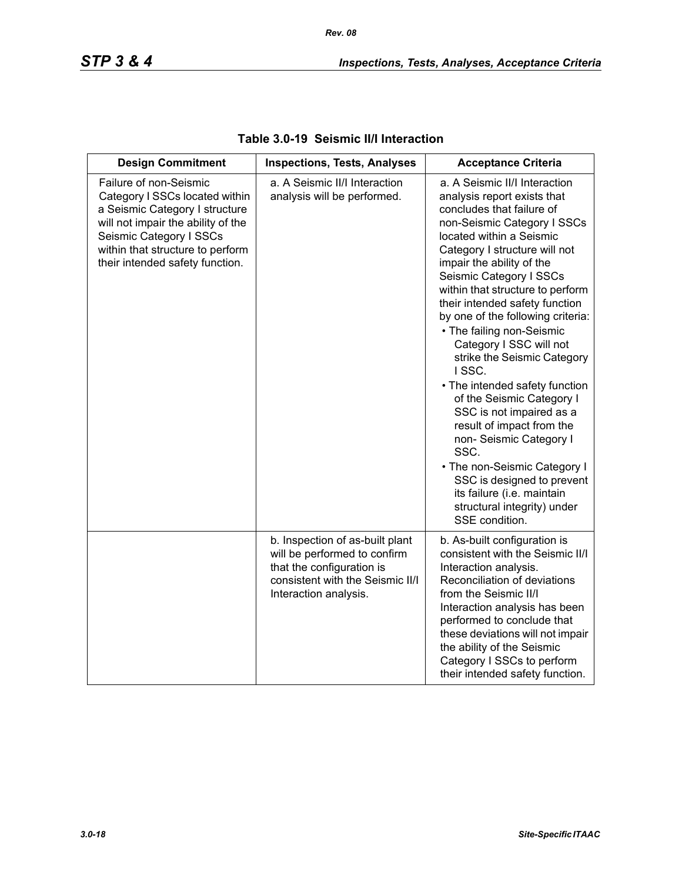| <b>Design Commitment</b>                                                                                                                                                                                                           | <b>Inspections, Tests, Analyses</b>                                                                                                                       | <b>Acceptance Criteria</b>                                                                                                                                                                                                                                                                                                                                                                                                                                                                                                                                                                                                                                                                                                                                       |
|------------------------------------------------------------------------------------------------------------------------------------------------------------------------------------------------------------------------------------|-----------------------------------------------------------------------------------------------------------------------------------------------------------|------------------------------------------------------------------------------------------------------------------------------------------------------------------------------------------------------------------------------------------------------------------------------------------------------------------------------------------------------------------------------------------------------------------------------------------------------------------------------------------------------------------------------------------------------------------------------------------------------------------------------------------------------------------------------------------------------------------------------------------------------------------|
| Failure of non-Seismic<br>Category I SSCs located within<br>a Seismic Category I structure<br>will not impair the ability of the<br>Seismic Category I SSCs<br>within that structure to perform<br>their intended safety function. | a. A Seismic II/I Interaction<br>analysis will be performed.                                                                                              | a. A Seismic II/I Interaction<br>analysis report exists that<br>concludes that failure of<br>non-Seismic Category I SSCs<br>located within a Seismic<br>Category I structure will not<br>impair the ability of the<br>Seismic Category I SSCs<br>within that structure to perform<br>their intended safety function<br>by one of the following criteria:<br>• The failing non-Seismic<br>Category I SSC will not<br>strike the Seismic Category<br>ISSC.<br>• The intended safety function<br>of the Seismic Category I<br>SSC is not impaired as a<br>result of impact from the<br>non- Seismic Category I<br>SSC.<br>• The non-Seismic Category I<br>SSC is designed to prevent<br>its failure (i.e. maintain<br>structural integrity) under<br>SSE condition. |
|                                                                                                                                                                                                                                    | b. Inspection of as-built plant<br>will be performed to confirm<br>that the configuration is<br>consistent with the Seismic II/I<br>Interaction analysis. | b. As-built configuration is<br>consistent with the Seismic II/I<br>Interaction analysis.<br>Reconciliation of deviations<br>from the Seismic II/I<br>Interaction analysis has been<br>performed to conclude that<br>these deviations will not impair<br>the ability of the Seismic<br>Category I SSCs to perform<br>their intended safety function.                                                                                                                                                                                                                                                                                                                                                                                                             |

### **Table 3.0-19 Seismic II/I Interaction**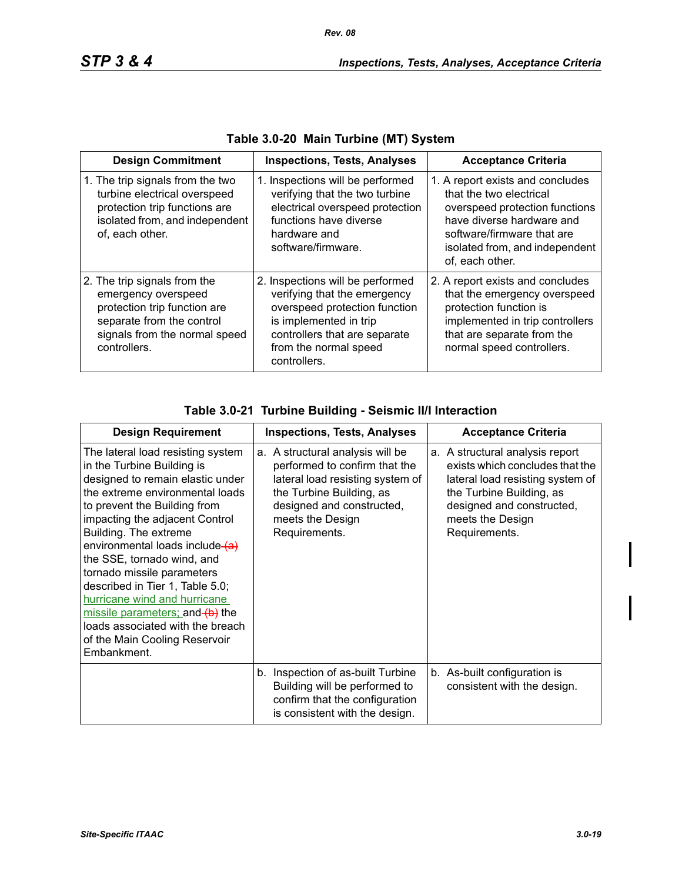| <b>Design Commitment</b>                                                                                                                                          | <b>Inspections, Tests, Analyses</b>                                                                                                                                                                   | <b>Acceptance Criteria</b>                                                                                                                                                                                    |
|-------------------------------------------------------------------------------------------------------------------------------------------------------------------|-------------------------------------------------------------------------------------------------------------------------------------------------------------------------------------------------------|---------------------------------------------------------------------------------------------------------------------------------------------------------------------------------------------------------------|
| 1. The trip signals from the two<br>turbine electrical overspeed<br>protection trip functions are<br>isolated from, and independent<br>of, each other.            | 1. Inspections will be performed<br>verifying that the two turbine<br>electrical overspeed protection<br>functions have diverse<br>hardware and<br>software/firmware.                                 | 1. A report exists and concludes<br>that the two electrical<br>overspeed protection functions<br>have diverse hardware and<br>software/firmware that are<br>isolated from, and independent<br>of, each other. |
| 2. The trip signals from the<br>emergency overspeed<br>protection trip function are<br>separate from the control<br>signals from the normal speed<br>controllers. | 2. Inspections will be performed<br>verifying that the emergency<br>overspeed protection function<br>is implemented in trip<br>controllers that are separate<br>from the normal speed<br>controllers. | 2. A report exists and concludes<br>that the emergency overspeed<br>protection function is<br>implemented in trip controllers<br>that are separate from the<br>normal speed controllers.                      |

## **Table 3.0-21 Turbine Building - Seismic II/I Interaction**

| <b>Design Requirement</b>                                                                                                                                                                                                                                                                                                                                                                                                                                                                                                  | <b>Inspections, Tests, Analyses</b>                                                                                                                                                                 | <b>Acceptance Criteria</b>                                                                                                                                                                           |
|----------------------------------------------------------------------------------------------------------------------------------------------------------------------------------------------------------------------------------------------------------------------------------------------------------------------------------------------------------------------------------------------------------------------------------------------------------------------------------------------------------------------------|-----------------------------------------------------------------------------------------------------------------------------------------------------------------------------------------------------|------------------------------------------------------------------------------------------------------------------------------------------------------------------------------------------------------|
| The lateral load resisting system<br>in the Turbine Building is<br>designed to remain elastic under<br>the extreme environmental loads<br>to prevent the Building from<br>impacting the adjacent Control<br>Building. The extreme<br>environmental loads include (a)<br>the SSE, tornado wind, and<br>tornado missile parameters<br>described in Tier 1, Table 5.0;<br>hurricane wind and hurricane<br>missile parameters; and (b) the<br>loads associated with the breach<br>of the Main Cooling Reservoir<br>Embankment. | a. A structural analysis will be<br>performed to confirm that the<br>lateral load resisting system of<br>the Turbine Building, as<br>designed and constructed,<br>meets the Design<br>Requirements. | a. A structural analysis report<br>exists which concludes that the<br>lateral load resisting system of<br>the Turbine Building, as<br>designed and constructed,<br>meets the Design<br>Requirements. |
|                                                                                                                                                                                                                                                                                                                                                                                                                                                                                                                            | b. Inspection of as-built Turbine<br>Building will be performed to<br>confirm that the configuration<br>is consistent with the design.                                                              | b. As-built configuration is<br>consistent with the design.                                                                                                                                          |

Ι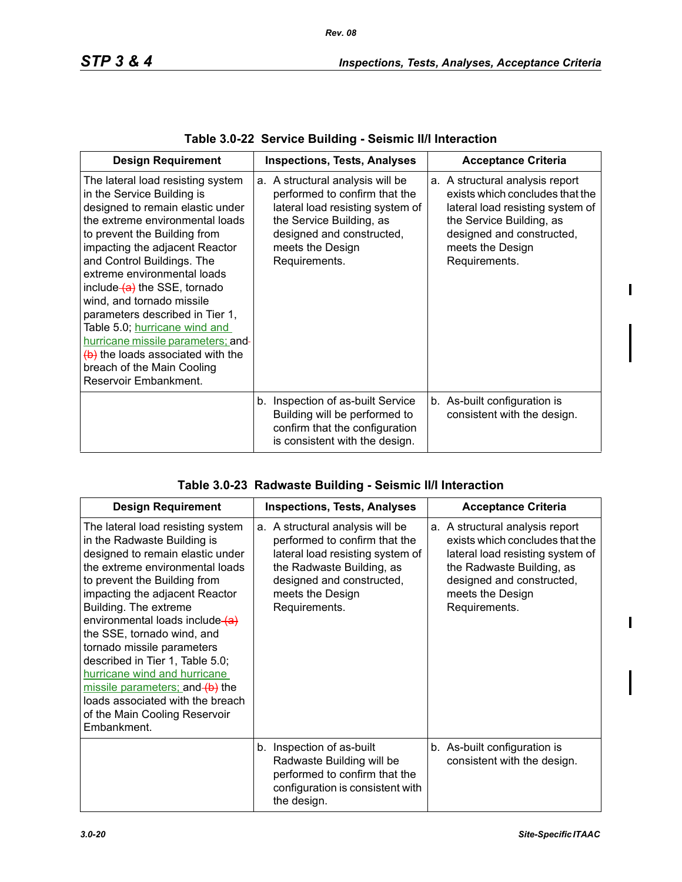| <b>Design Requirement</b>                                                                                                                                                                                                                                                                                                                                                                                                                                                                                                                                       | <b>Inspections, Tests, Analyses</b>                                                                                                                                                                 | <b>Acceptance Criteria</b>                                                                                                                                                                           |
|-----------------------------------------------------------------------------------------------------------------------------------------------------------------------------------------------------------------------------------------------------------------------------------------------------------------------------------------------------------------------------------------------------------------------------------------------------------------------------------------------------------------------------------------------------------------|-----------------------------------------------------------------------------------------------------------------------------------------------------------------------------------------------------|------------------------------------------------------------------------------------------------------------------------------------------------------------------------------------------------------|
| The lateral load resisting system<br>in the Service Building is<br>designed to remain elastic under<br>the extreme environmental loads<br>to prevent the Building from<br>impacting the adjacent Reactor<br>and Control Buildings. The<br>extreme environmental loads<br>include (a) the SSE, tornado<br>wind, and tornado missile<br>parameters described in Tier 1,<br>Table 5.0; hurricane wind and<br>hurricane missile parameters; and-<br>$\left(\frac{b}{c}\right)$ the loads associated with the<br>breach of the Main Cooling<br>Reservoir Embankment. | a. A structural analysis will be<br>performed to confirm that the<br>lateral load resisting system of<br>the Service Building, as<br>designed and constructed,<br>meets the Design<br>Requirements. | a. A structural analysis report<br>exists which concludes that the<br>lateral load resisting system of<br>the Service Building, as<br>designed and constructed,<br>meets the Design<br>Requirements. |
|                                                                                                                                                                                                                                                                                                                                                                                                                                                                                                                                                                 | b. Inspection of as-built Service<br>Building will be performed to<br>confirm that the configuration<br>is consistent with the design.                                                              | b. As-built configuration is<br>consistent with the design.                                                                                                                                          |

| <b>Design Requirement</b>                                                                                                                                                                                                                                                                                                                                                                                                                                                                                                   | <b>Inspections, Tests, Analyses</b>                                                                                                                                                                  | <b>Acceptance Criteria</b>                                                                                                                                                                            |
|-----------------------------------------------------------------------------------------------------------------------------------------------------------------------------------------------------------------------------------------------------------------------------------------------------------------------------------------------------------------------------------------------------------------------------------------------------------------------------------------------------------------------------|------------------------------------------------------------------------------------------------------------------------------------------------------------------------------------------------------|-------------------------------------------------------------------------------------------------------------------------------------------------------------------------------------------------------|
| The lateral load resisting system<br>in the Radwaste Building is<br>designed to remain elastic under<br>the extreme environmental loads<br>to prevent the Building from<br>impacting the adjacent Reactor<br>Building. The extreme<br>environmental loads include (a)<br>the SSE, tornado wind, and<br>tornado missile parameters<br>described in Tier 1, Table 5.0;<br>hurricane wind and hurricane<br>missile parameters; and (b) the<br>loads associated with the breach<br>of the Main Cooling Reservoir<br>Embankment. | a. A structural analysis will be<br>performed to confirm that the<br>lateral load resisting system of<br>the Radwaste Building, as<br>designed and constructed,<br>meets the Design<br>Requirements. | a. A structural analysis report<br>exists which concludes that the<br>lateral load resisting system of<br>the Radwaste Building, as<br>designed and constructed,<br>meets the Design<br>Requirements. |
|                                                                                                                                                                                                                                                                                                                                                                                                                                                                                                                             | b. Inspection of as-built<br>Radwaste Building will be<br>performed to confirm that the<br>configuration is consistent with<br>the design.                                                           | b. As-built configuration is<br>consistent with the design.                                                                                                                                           |

 $\begin{array}{c} \rule{0pt}{2.5ex} \rule{0pt}{2.5ex} \rule{0pt}{2.5ex} \rule{0pt}{2.5ex} \rule{0pt}{2.5ex} \rule{0pt}{2.5ex} \rule{0pt}{2.5ex} \rule{0pt}{2.5ex} \rule{0pt}{2.5ex} \rule{0pt}{2.5ex} \rule{0pt}{2.5ex} \rule{0pt}{2.5ex} \rule{0pt}{2.5ex} \rule{0pt}{2.5ex} \rule{0pt}{2.5ex} \rule{0pt}{2.5ex} \rule{0pt}{2.5ex} \rule{0pt}{2.5ex} \rule{0pt}{2.5ex} \rule{0$ 

 $\mathbf{I}$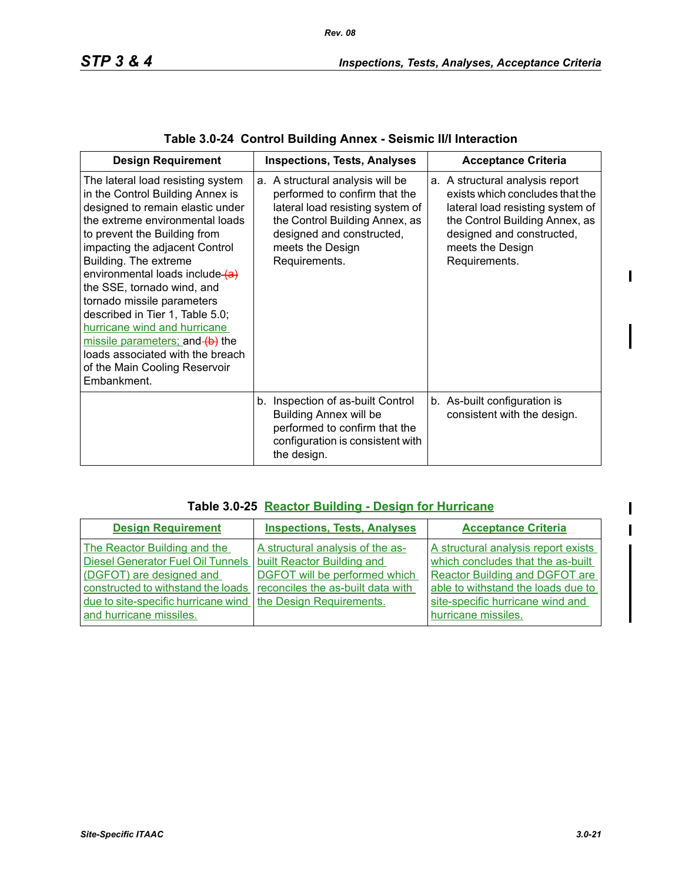| <b>Design Requirement</b>                                                                                                                                                                                                                                                                                                                                                                                                                                                                                                        | <b>Inspections, Tests, Analyses</b>                                                                                                                                                                       | <b>Acceptance Criteria</b>                                                                                                                                                                                 |
|----------------------------------------------------------------------------------------------------------------------------------------------------------------------------------------------------------------------------------------------------------------------------------------------------------------------------------------------------------------------------------------------------------------------------------------------------------------------------------------------------------------------------------|-----------------------------------------------------------------------------------------------------------------------------------------------------------------------------------------------------------|------------------------------------------------------------------------------------------------------------------------------------------------------------------------------------------------------------|
| The lateral load resisting system<br>in the Control Building Annex is<br>designed to remain elastic under<br>the extreme environmental loads<br>to prevent the Building from<br>impacting the adjacent Control<br>Building. The extreme<br>environmental loads include (a)<br>the SSE, tornado wind, and<br>tornado missile parameters<br>described in Tier 1, Table 5.0;<br>hurricane wind and hurricane<br>missile parameters; and (b) the<br>loads associated with the breach<br>of the Main Cooling Reservoir<br>Embankment. | a. A structural analysis will be<br>performed to confirm that the<br>lateral load resisting system of<br>the Control Building Annex, as<br>designed and constructed,<br>meets the Design<br>Requirements. | a. A structural analysis report<br>exists which concludes that the<br>lateral load resisting system of<br>the Control Building Annex, as<br>designed and constructed,<br>meets the Design<br>Requirements. |
|                                                                                                                                                                                                                                                                                                                                                                                                                                                                                                                                  | b. Inspection of as-built Control<br><b>Building Annex will be</b><br>performed to confirm that the<br>configuration is consistent with<br>the design.                                                    | b. As-built configuration is<br>consistent with the design.                                                                                                                                                |

|  | Table 3.0-24 Control Building Annex - Seismic II/I Interaction |  |  |  |  |
|--|----------------------------------------------------------------|--|--|--|--|
|--|----------------------------------------------------------------|--|--|--|--|

## **Table 3.0-25 Reactor Building - Design for Hurricane**

| <b>Design Requirement</b>                                                                                                                                                                                    | <b>Inspections, Tests, Analyses</b>                                                                                                                              | <b>Acceptance Criteria</b>                                                                                                                                                                                  |
|--------------------------------------------------------------------------------------------------------------------------------------------------------------------------------------------------------------|------------------------------------------------------------------------------------------------------------------------------------------------------------------|-------------------------------------------------------------------------------------------------------------------------------------------------------------------------------------------------------------|
| The Reactor Building and the<br><b>Diesel Generator Fuel Oil Tunnels</b><br>(DGFOT) are designed and<br>constructed to withstand the loads<br>due to site-specific hurricane wind<br>and hurricane missiles. | A structural analysis of the as-<br>built Reactor Building and<br>DGFOT will be performed which<br>reconciles the as-built data with<br>the Design Requirements. | A structural analysis report exists<br>which concludes that the as-built<br>Reactor Building and DGFOT are<br>able to withstand the loads due to<br>site-specific hurricane wind and<br>hurricane missiles. |

 $\blacksquare$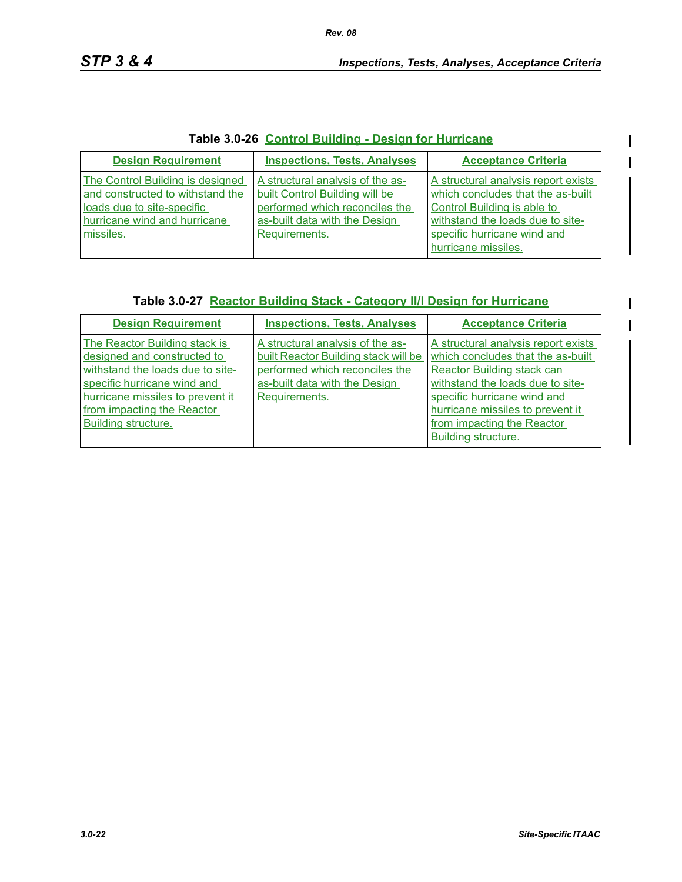$\overline{\phantom{a}}$ 

## **Table 3.0-26 Control Building - Design for Hurricane**

| <b>Design Requirement</b>                                                                                                                       | <b>Inspections, Tests, Analyses</b>                                                                                                                    | <b>Acceptance Criteria</b>                                                                                                                                                                        |
|-------------------------------------------------------------------------------------------------------------------------------------------------|--------------------------------------------------------------------------------------------------------------------------------------------------------|---------------------------------------------------------------------------------------------------------------------------------------------------------------------------------------------------|
| The Control Building is designed<br>and constructed to withstand the<br>loads due to site-specific<br>hurricane wind and hurricane<br>missiles. | A structural analysis of the as-<br>built Control Building will be<br>performed which reconciles the<br>as-built data with the Design<br>Requirements. | A structural analysis report exists<br>which concludes that the as-built<br>Control Building is able to<br>withstand the loads due to site-<br>specific hurricane wind and<br>hurricane missiles. |

### **Table 3.0-27 Reactor Building Stack - Category II/I Design for Hurricane**

| <b>Design Requirement</b>                                                                                                                                                                                                | <b>Inspections, Tests, Analyses</b>                                                                                                                          | <b>Acceptance Criteria</b>                                                                                                                                                                                                                                         |
|--------------------------------------------------------------------------------------------------------------------------------------------------------------------------------------------------------------------------|--------------------------------------------------------------------------------------------------------------------------------------------------------------|--------------------------------------------------------------------------------------------------------------------------------------------------------------------------------------------------------------------------------------------------------------------|
| The Reactor Building stack is<br>designed and constructed to<br>withstand the loads due to site-<br>specific hurricane wind and<br>hurricane missiles to prevent it<br>from impacting the Reactor<br>Building structure. | A structural analysis of the as-<br>built Reactor Building stack will be<br>performed which reconciles the<br>as-built data with the Design<br>Requirements. | A structural analysis report exists<br>which concludes that the as-built<br>Reactor Building stack can<br>withstand the loads due to site-<br>specific hurricane wind and<br>hurricane missiles to prevent it<br>from impacting the Reactor<br>Building structure. |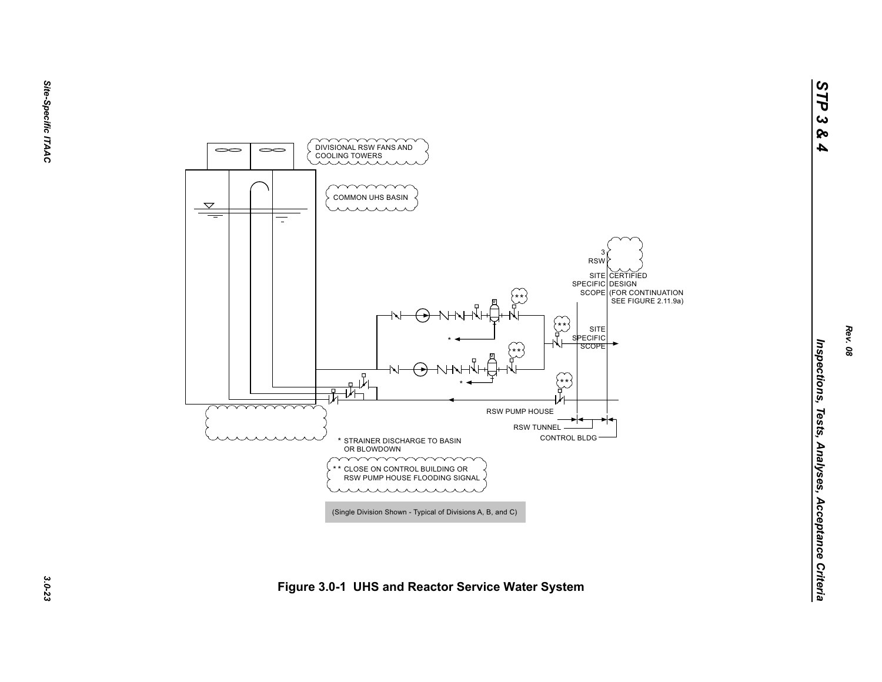

*STP 3 & 4*